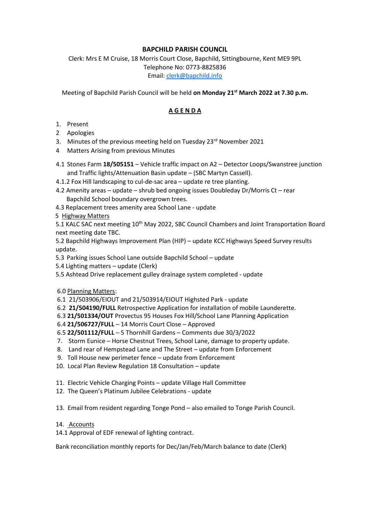## **BAPCHILD PARISH COUNCIL**

Clerk: Mrs E M Cruise, 18 Morris Court Close, Bapchild, Sittingbourne, Kent ME9 9PL Telephone No: 0773-8825836 Email: [clerk@bapchild.info](mailto:clerk@bapchild.info)

Meeting of Bapchild Parish Council will be held **on Monday 21st March 2022 at 7.30 p.m.**

## **A G E N D A**

- 1. Present
- 2 Apologies
- 3. Minutes of the previous meeting held on Tuesday  $23<sup>rd</sup>$  November 2021
- 4 Matters Arising from previous Minutes
- 4.1 Stones Farm **18/505151** Vehicle traffic impact on A2 Detector Loops/Swanstree junction and Traffic lights/Attenuation Basin update – (SBC Martyn Cassell).
- 4.1.2 Fox Hill landscaping to cul-de-sac area update re tree planting.
- 4.2 Amenity areas update shrub bed ongoing issues Doubleday Dr/Morris Ct rear Bapchild School boundary overgrown trees.
- 4.3 Replacement trees amenity area School Lane update
- 5 Highway Matters

5.1 KALC SAC next meeting 10<sup>th</sup> May 2022, SBC Council Chambers and Joint Transportation Board next meeting date TBC.

 5.2 Bapchild Highways Improvement Plan (HIP) – update KCC Highways Speed Survey results update.

- 5.3 Parking issues School Lane outside Bapchild School update
- 5.4 Lighting matters update (Clerk)
- 5.5 Ashtead Drive replacement gulley drainage system completed update
- 6.0 Planning Matters:
- 6.1 21/503906/EIOUT and 21/503914/EIOUT Highsted Park update
- 6.2 **21/504190/FULL** Retrospective Application for installation of mobile Launderette.
- 6.3 **21/501334/OUT** Provectus 95 Houses Fox Hill/School Lane Planning Application
- 6.4 **21/506727/FULL** 14 Morris Court Close Approved
- 6.5 **22/501112/FULL** 5 Thornhill Gardens Comments due 30/3/2022
- 7. Storm Eunice Horse Chestnut Trees, School Lane, damage to property update.
- 8. Land rear of Hempstead Lane and The Street update from Enforcement
- 9. Toll House new perimeter fence update from Enforcement
- 10. Local Plan Review Regulation 18 Consultation update
- 11. Electric Vehicle Charging Points update Village Hall Committee
- 12. The Queen's Platinum Jubilee Celebrations update

13. Email from resident regarding Tonge Pond – also emailed to Tonge Parish Council.

- 14. Accounts
- 14.1 Approval of EDF renewal of lighting contract.

Bank reconciliation monthly reports for Dec/Jan/Feb/March balance to date (Clerk)